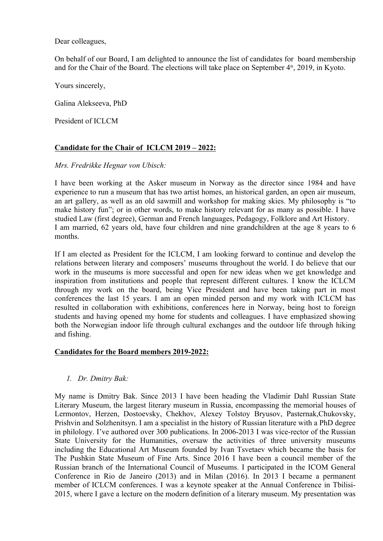Dear colleagues,

On behalf of our Board, I am delighted to announce the list of candidates for board membership and for the Chair of the Board. The elections will take place on September  $4<sup>th</sup>$ , 2019, in Kyoto.

Yours sincerely,

Galina Alekseeva, PhD

President of ICLCM

## **Candidate for the Chair of ICLCM 2019 – 2022:**

#### *Mrs. Fredrikke Hegnar von Ubisch:*

I have been working at the Asker museum in Norway as the director since 1984 and have experience to run a museum that has two artist homes, an historical garden, an open air museum, an art gallery, as well as an old sawmill and workshop for making skies. My philosophy is "to make history fun"; or in other words, to make history relevant for as many as possible. I have studied Law (first degree), German and French languages, Pedagogy, Folklore and Art History. I am married, 62 years old, have four children and nine grandchildren at the age 8 years to 6 months.

If I am elected as President for the ICLCM, I am looking forward to continue and develop the relations between literary and composers' museums throughout the world. I do believe that our work in the museums is more successful and open for new ideas when we get knowledge and inspiration from institutions and people that represent different cultures. I know the ICLCM through my work on the board, being Vice President and have been taking part in most conferences the last 15 years. I am an open minded person and my work with ICLCM has resulted in collaboration with exhibitions, conferences here in Norway, being host to foreign students and having opened my home for students and colleagues. I have emphasized showing both the Norwegian indoor life through cultural exchanges and the outdoor life through hiking and fishing.

## **Candidates for the Board members 2019-2022:**

## *1. Dr. Dmitry Bak:*

My name is Dmitry Bak. Since 2013 I have been heading the Vladimir Dahl Russian State Literary Museum, the largest literary museum in Russia, encompassing the memorial houses of Lermontov, Herzen, Dostoevsky, Chekhov, Alexey Tolstoy Bryusov, Pasternak,Chukovsky, Prishvin and Solzhenitsyn. I am a specialist in the history of Russian literature with a PhD degree in philology. I've authored over 300 publications. In 2006-2013 I was vice-rector of the Russian State University for the Humanities, oversaw the activities of three university museums including the Educational Art Museum founded by Ivan Tsvetaev which became the basis for The Pushkin State Museum of Fine Arts. Since 2016 I have been a council member of the Russian branch of the International Council of Museums. I participated in the ICOM General Conference in Rio de Janeiro (2013) and in Milan (2016). In 2013 I became a permanent member of ICLCM conferences. I was a keynote speaker at the Annual Conference in Tbilisi-2015, where I gave a lecture on the modern definition of a literary museum. My presentation was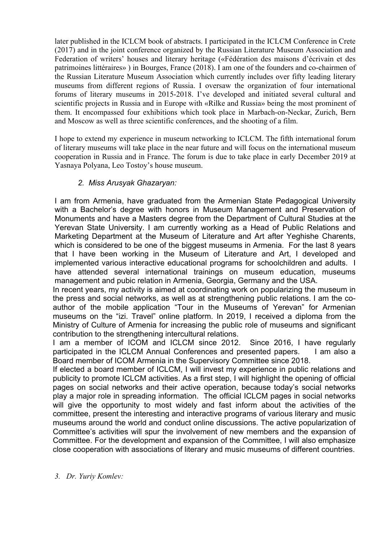later published in the ICLCM book of abstracts. I participated in the ICLCM Conference in Crete (2017) and in the joint conference organized by the Russian Literature Museum Association and Federation of writers' houses and literary heritage («Fédération des maisons d'écrivain et des patrimoines littéraires» ) in Bourges, France (2018). I am one of the founders and co-chairmen of the Russian Literature Museum Association which currently includes over fifty leading literary museums from different regions of Russia. I oversaw the organization of four international forums of literary museums in 2015-2018. I've developed and initiated several cultural and scientific projects in Russia and in Europe with «Rilke and Russia» being the most prominent of them. It encompassed four exhibitions which took place in Marbach-on-Neckar, Zurich, Bern and Moscow as well as three scientific conferences, and the shooting of a film.

I hope to extend my experience in museum networking to ICLCM. The fifth international forum of literary museums will take place in the near future and will focus on the international museum cooperation in Russia and in France. The forum is due to take place in early December 2019 at Yasnaya Polyana, Leo Tostoy's house museum.

# *2. Miss Arusyak Ghazaryan:*

I am from Armenia, have graduated from the Armenian State Pedagogical University with a Bachelor's degree with honors in Museum Management and Preservation of Monuments and have a Masters degree from the Department of Cultural Studies at the Yerevan State University. I am currently working as a Head of Public Relations and Marketing Department at the Museum of Literature and Art after Yeghishe Charents, which is considered to be one of the biggest museums in Armenia. For the last 8 years that I have been working in the Museum of Literature and Art, I developed and implemented various interactive educational programs for schoolchildren and adults. I have attended several international trainings on museum education, museums management and pubic relation in Armenia, Georgia, Germany and the USA.

In recent years, my activity is aimed at coordinating work on popularizing the museum in the press and social networks, as well as at strengthening public relations. I am the coauthor of the mobile application "Tour in the Museums of Yerevan" for Armenian museums on the "izi. Travel" online platform. In 2019, I received a diploma from the Ministry of Culture of Armenia for increasing the public role of museums and significant contribution to the strengthening intercultural relations.

I am a member of ICOM and ICLCM since 2012. Since 2016, I have regularly participated in the ICLCM Annual Conferences and presented papers. I am also a Board member of ICOM Armenia in the Supervisory Committee since 2018.

If elected a board member of ICLCM, I will invest my experience in public relations and publicity to promote ICLCM activities. As a first step, I will highlight the opening of official pages on social networks and their active operation, because today's social networks play a major role in spreading information. The official ICLCM pages in social networks will give the opportunity to most widely and fast inform about the activities of the committee, present the interesting and interactive programs of various literary and music museums around the world and conduct online discussions. The active popularization of Committee's activities will spur the involvement of new members and the expansion of Committee. For the development and expansion of the Committee, I will also emphasize close cooperation with associations of literary and music museums of different countries.

*3. Dr. Yuriy Komlev:*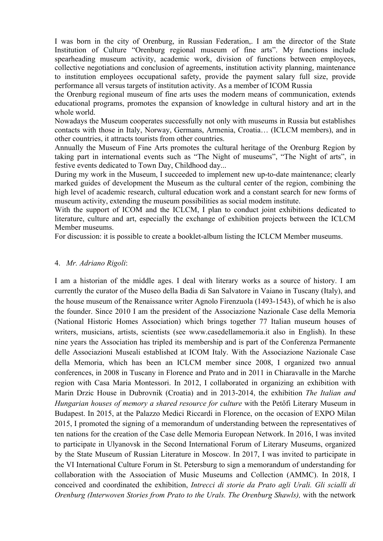I was born in the city of Orenburg, in Russian Federation,. I am the director of the State Institution of Culture "Orenburg regional museum of fine arts". My functions include spearheading museum activity, academic work, division of functions between employees, collective negotiations and conclusion of agreements, institution activity planning, maintenance to institution employees occupational safety, provide the payment salary full size, provide performance all versus targets of institution activity. As a member of ICOM Russia

the Orenburg regional museum of fine arts uses the modern means of communication, extends educational programs, promotes the expansion of knowledge in cultural history and art in the whole world.

Nowadays the Museum cooperates successfully not only with museums in Russia but establishes contacts with those in Italy, Norway, Germans, Armenia, Croatia… (ICLCM members), and in other countries, it attracts tourists from other countries.

Annually the Museum of Fine Arts promotes the cultural heritage of the Orenburg Region by taking part in international events such as "The Night of museums", "The Night of arts", in festive events dedicated to Town Day, Childhood day...

During my work in the Museum, I succeeded to implement new up-to-date maintenance; clearly marked guides of development the Museum as the cultural center of the region, combining the high level of academic research, cultural education work and a constant search for new forms of museum activity, extending the museum possibilities as social modem institute.

With the support of ICOM and the ICLCM, I plan to conduct joint exhibitions dedicated to literature, culture and art, especially the exchange of exhibition projects between the ICLCM Member museums.

For discussion: it is possible to create a booklet-album listing the ICLCM Member museums.

#### 4. *Mr. Adriano Rigoli*:

I am a historian of the middle ages. I deal with literary works as a source of history. I am currently the curator of the Museo della Badia di San Salvatore in Vaiano in Tuscany (Italy), and the house museum of the Renaissance writer Agnolo Firenzuola (1493-1543), of which he is also the founder. Since 2010 I am the president of the Associazione Nazionale Case della Memoria (National Historic Homes Association) which brings together 77 Italian museum houses of writers, musicians, artists, scientists (see www.casedellamemoria.it also in English). In these nine years the Association has tripled its membership and is part of the Conferenza Permanente delle Associazioni Museali established at ICOM Italy. With the Associazione Nazionale Case della Memoria, which has been an ICLCM member since 2008, I organized two annual conferences, in 2008 in Tuscany in Florence and Prato and in 2011 in Chiaravalle in the Marche region with Casa Maria Montessori. In 2012, I collaborated in organizing an exhibition with Marin Drzic House in Dubrovnik (Croatia) and in 2013-2014, the exhibition *The Italian and Hungarian houses of memory a shared resource for culture* with the Petőfi Literary Museum in Budapest. In 2015, at the Palazzo Medici Riccardi in Florence, on the occasion of EXPO Milan 2015, I promoted the signing of a memorandum of understanding between the representatives of ten nations for the creation of the Case delle Memoria European Network. In 2016, I was invited to participate in Ulyanovsk in the Second International Forum of Literary Museums, organized by the State Museum of Russian Literature in Moscow. In 2017, I was invited to participate in the VI International Culture Forum in St. Petersburg to sign a memorandum of understanding for collaboration with the Association of Music Museums and Collection (AMMC). In 2018, I conceived and coordinated the exhibition, *Intrecci di storie da Prato agli Urali. Gli scialli di Orenburg (Interwoven Stories from Prato to the Urals. The Orenburg Shawls),* with the network